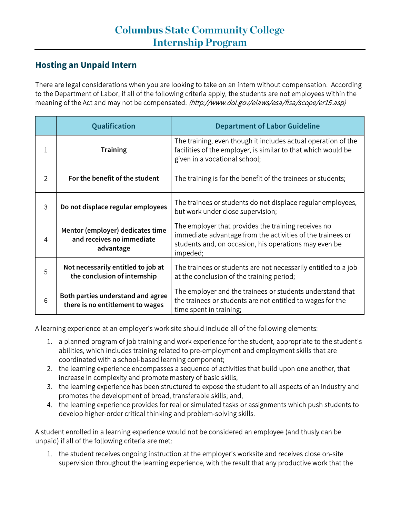## **Hosting an Unpaid Intern**

There are legal considerations when you are looking to take on an intern without compensation. According to the Department of Labor, if all of the following criteria apply, the students are not employees within the meaning of the Act and may not be compensated: [\(http://www.dol.gov/elaws/esa/flsa/scope/er15.asp\)](http://www.dol.gov/elaws/esa/flsa/scope/er15.asp)

|   | Qualification                                                              | <b>Department of Labor Guideline</b>                                                                                                                                                   |
|---|----------------------------------------------------------------------------|----------------------------------------------------------------------------------------------------------------------------------------------------------------------------------------|
| 1 | <b>Training</b>                                                            | The training, even though it includes actual operation of the<br>facilities of the employer, is similar to that which would be<br>given in a vocational school;                        |
| 2 | For the benefit of the student                                             | The training is for the benefit of the trainees or students;                                                                                                                           |
| 3 | Do not displace regular employees                                          | The trainees or students do not displace regular employees,<br>but work under close supervision;                                                                                       |
| 4 | Mentor (employer) dedicates time<br>and receives no immediate<br>advantage | The employer that provides the training receives no<br>immediate advantage from the activities of the trainees or<br>students and, on occasion, his operations may even be<br>impeded; |
| 5 | Not necessarily entitled to job at<br>the conclusion of internship         | The trainees or students are not necessarily entitled to a job<br>at the conclusion of the training period;                                                                            |
| 6 | Both parties understand and agree<br>there is no entitlement to wages      | The employer and the trainees or students understand that<br>the trainees or students are not entitled to wages for the<br>time spent in training;                                     |

A learning experience at an employer's work site should include all of the following elements:

- 1. a planned program of job training and work experience for the student, appropriate to the student's abilities, which includes training related to pre-employment and employment skills that are coordinated with a school-based learning component;
- 2. the learning experience encompasses a sequence of activities that build upon one another, that increase in complexity and promote mastery of basic skills;
- 3. the learning experience has been structured to expose the student to all aspects of an industry and promotes the development of broad, transferable skills; and,
- 4. the learning experience provides for real or simulated tasks or assignments which push students to develop higher-order critical thinking and problem-solving skills.

A student enrolled in a learning experience would not be considered an employee (and thusly can be unpaid) if all of the following criteria are met:

1. the student receives ongoing instruction at the employer's worksite and receives close on-site supervision throughout the learning experience, with the result that any productive work that the